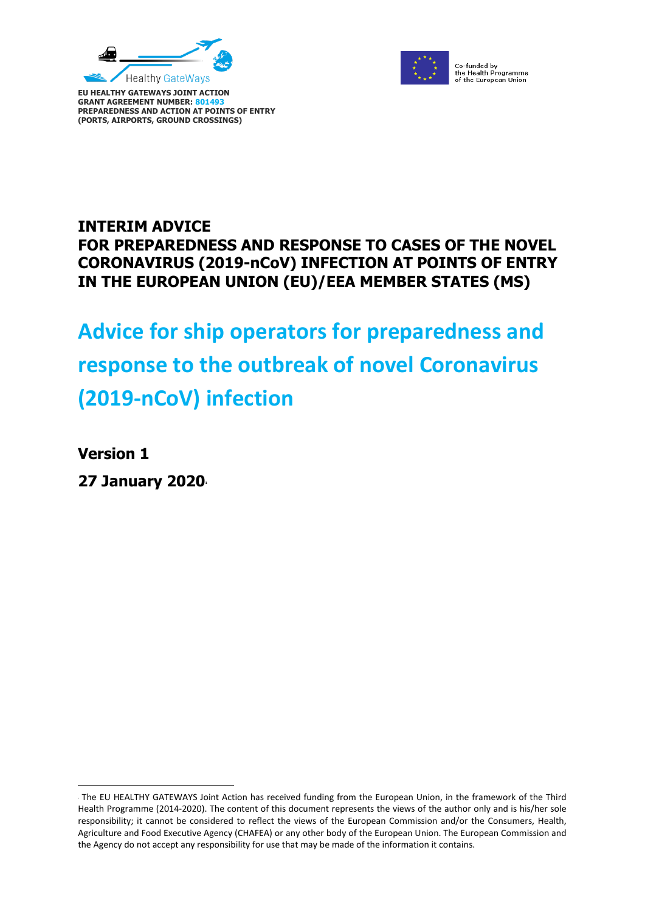

**PREPAREDNESS AND ACTION AT POINTS OF ENTRY (PORTS, AIRPORTS, GROUND CROSSINGS)**

**GRANT AGREEMENT NUMBER: 80149** 



Co-funded by<br>the Health Programme<br>of the European Union

# **INTERIM ADVICE FOR PREPAREDNESS AND RESPONSE TO CASES OF THE NOVEL CORONAVIRUS (2019-nCoV) INFECTION AT POINTS OF ENTRY IN THE EUROPEAN UNION (EU)/EEA MEMBER STATES (MS)**

# **Advice for ship operators for preparedness and response to the outbreak of novel Coronavirus (2019-nCoV) infection**

**Version 1**

 $\overline{a}$ 

**27 January 2020<sup>1</sup>**

The EU HEALTHY GATEWAYS Joint Action has received funding from the European Union, in the framework of the Third Health Programme (2014-2020). The content of this document represents the views of the author only and is his/her sole responsibility; it cannot be considered to reflect the views of the European Commission and/or the Consumers, Health, Agriculture and Food Executive Agency (CHAFEA) or any other body of the European Union. The European Commission and the Agency do not accept any responsibility for use that may be made of the information it contains.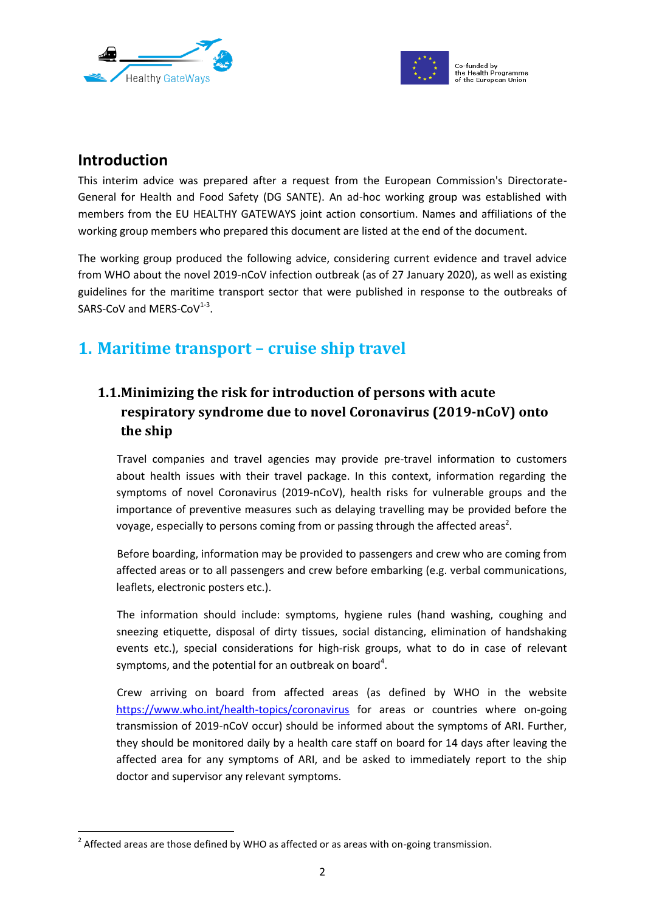



# **Introduction**

1

This interim advice was prepared after a request from the European Commission's Directorate-General for Health and Food Safety (DG SANTE). An ad-hoc working group was established with members from the EU HEALTHY GATEWAYS joint action consortium. Names and affiliations of the working group members who prepared this document are listed at the end of the document.

The working group produced the following advice, considering current evidence and travel advice from WHO about the novel 2019-nCoV infection outbreak (as of 27 January 2020), as well as existing guidelines for the maritime transport sector that were published in response to the outbreaks of  $SARS-CoV$  and MERS-Co $V^{1-3}$ .

# **1. Maritime transport – cruise ship travel**

# **1.1.Minimizing the risk for introduction of persons with acute respiratory syndrome due to novel Coronavirus (2019-nCoV) onto the ship**

Travel companies and travel agencies may provide pre-travel information to customers about health issues with their travel package. In this context, information regarding the symptoms of novel Coronavirus (2019-nCoV), health risks for vulnerable groups and the importance of preventive measures such as delaying travelling may be provided before the voyage, especially to persons coming from or passing through the affected areas<sup>2</sup>.

Before boarding, information may be provided to passengers and crew who are coming from affected areas or to all passengers and crew before embarking (e.g. verbal communications, leaflets, electronic posters etc.).

The information should include: symptoms, hygiene rules (hand washing, coughing and sneezing etiquette, disposal of dirty tissues, social distancing, elimination of handshaking events etc.), special considerations for high-risk groups, what to do in case of relevant symptoms, and the potential for an outbreak on board<sup>4</sup>.

Crew arriving on board from affected areas (as defined by WHO in the website <https://www.who.int/health-topics/coronavirus> for areas or countries where on-going transmission of 2019-nCoV occur) should be informed about the symptoms of ARI. Further, they should be monitored daily by a health care staff on board for 14 days after leaving the affected area for any symptoms of ARI, and be asked to immediately report to the ship doctor and supervisor any relevant symptoms.

 $2$  Affected areas are those defined by WHO as affected or as areas with on-going transmission.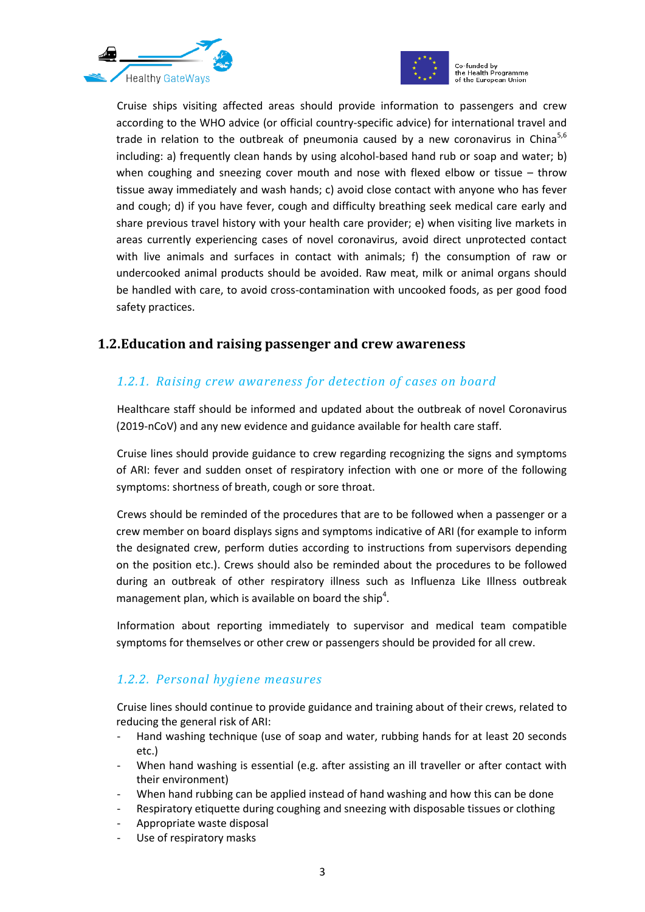



Cruise ships visiting affected areas should provide information to passengers and crew according to the WHO advice (or official country-specific advice) for international travel and trade in relation to the outbreak of pneumonia caused by a new coronavirus in China<sup>5,6</sup> including: a) frequently clean hands by using alcohol-based hand rub or soap and water; b) when coughing and sneezing cover mouth and nose with flexed elbow or tissue – throw tissue away immediately and wash hands; c) avoid close contact with anyone who has fever and cough; d) if you have fever, cough and difficulty breathing seek medical care early and share previous travel history with your health care provider; e) when visiting live markets in areas currently experiencing cases of novel coronavirus, avoid direct unprotected contact with live animals and surfaces in contact with animals; f) the consumption of raw or undercooked animal products should be avoided. Raw meat, milk or animal organs should be handled with care, to avoid cross-contamination with uncooked foods, as per good food safety practices.

#### **1.2.Education and raising passenger and crew awareness**

## *1.2.1. Raising crew awareness for detection of cases on board*

Healthcare staff should be informed and updated about the outbreak of novel Coronavirus (2019-nCoV) and any new evidence and guidance available for health care staff.

Cruise lines should provide guidance to crew regarding recognizing the signs and symptoms of ARI: fever and sudden onset of respiratory infection with one or more of the following symptoms: shortness of breath, cough or sore throat.

Crews should be reminded of the procedures that are to be followed when a passenger or a crew member on board displays signs and symptoms indicative of ARI (for example to inform the designated crew, perform duties according to instructions from supervisors depending on the position etc.). Crews should also be reminded about the procedures to be followed during an outbreak of other respiratory illness such as Influenza Like Illness outbreak management plan, which is available on board the ship<sup>4</sup>.

Information about reporting immediately to supervisor and medical team compatible symptoms for themselves or other crew or passengers should be provided for all crew.

## *1.2.2. Personal hygiene measures*

Cruise lines should continue to provide guidance and training about of their crews, related to reducing the general risk of ARI:

- Hand washing technique (use of soap and water, rubbing hands for at least 20 seconds etc.)
- When hand washing is essential (e.g. after assisting an ill traveller or after contact with their environment)
- When hand rubbing can be applied instead of hand washing and how this can be done
- Respiratory etiquette during coughing and sneezing with disposable tissues or clothing
- Appropriate waste disposal
- Use of respiratory masks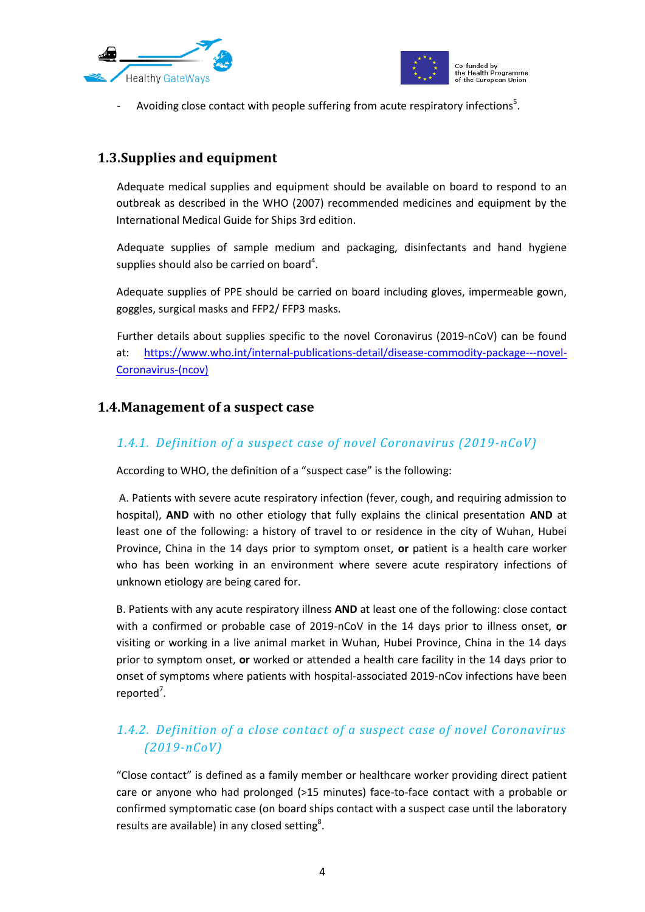



- Avoiding close contact with people suffering from acute respiratory infections<sup>5</sup>.

## **1.3.Supplies and equipment**

Adequate medical supplies and equipment should be available on board to respond to an outbreak as described in the WHO (2007) recommended medicines and equipment by the International Medical Guide for Ships 3rd edition.

Adequate supplies of sample medium and packaging, disinfectants and hand hygiene supplies should also be carried on board<sup>4</sup>.

Adequate supplies of PPE should be carried on board including gloves, impermeable gown, goggles, surgical masks and FFP2/ FFP3 masks.

Further details about supplies specific to the novel Coronavirus (2019-nCoV) can be found at: [https://www.who.int/internal-publications-detail/disease-commodity-package---novel-](https://www.who.int/internal-publications-detail/disease-commodity-package---novel-coronavirus-(ncov))[Coronavirus-\(ncov\)](https://www.who.int/internal-publications-detail/disease-commodity-package---novel-coronavirus-(ncov))

## <span id="page-3-0"></span>**1.4.Management of a suspect case**

#### *1.4.1. Definition of a suspect case of novel Coronavirus (2019-nCoV)*

According to WHO, the definition of a "suspect case" is the following:

A. Patients with severe acute respiratory infection (fever, cough, and requiring admission to hospital), **AND** with no other etiology that fully explains the clinical presentation **AND** at least one of the following: a history of travel to or residence in the city of Wuhan, Hubei Province, China in the 14 days prior to symptom onset, **or** patient is a health care worker who has been working in an environment where severe acute respiratory infections of unknown etiology are being cared for.

B. Patients with any acute respiratory illness **AND** at least one of the following: close contact with a confirmed or probable case of 2019-nCoV in the 14 days prior to illness onset, **or**  visiting or working in a live animal market in Wuhan, Hubei Province, China in the 14 days prior to symptom onset, **or** worked or attended a health care facility in the 14 days prior to onset of symptoms where patients with hospital-associated 2019-nCov infections have been reported<sup>7</sup>.

## <span id="page-3-1"></span>*1.4.2. Definition of a close contact of a suspect case of novel Coronavirus (2019-nCoV)*

"Close contact" is defined as a family member or healthcare worker providing direct patient care or anyone who had prolonged (>15 minutes) face-to-face contact with a probable or confirmed symptomatic case (on board ships contact with a suspect case until the laboratory results are available) in any closed setting<sup>8</sup>.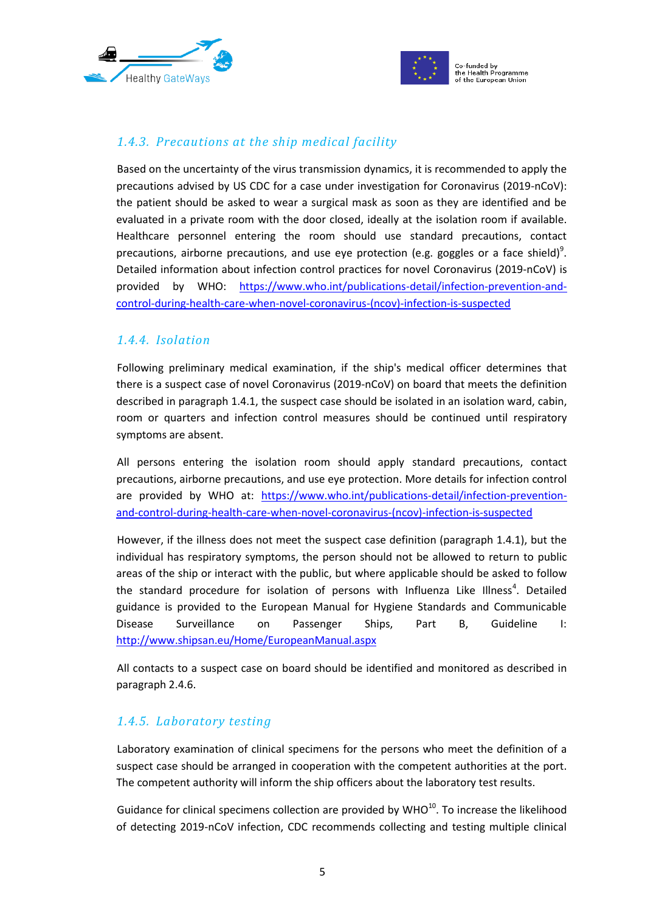



## *1.4.3. Precautions at the ship medical facility*

Based on the uncertainty of the virus transmission dynamics, it is recommended to apply the precautions advised by US CDC for a case under investigation for Coronavirus (2019-nCoV): the patient should be asked to wear a surgical mask as soon as they are identified and be evaluated in a private room with the door closed, ideally at the isolation room if available. Healthcare personnel entering the room should use standard precautions, contact precautions, airborne precautions, and use eye protection (e.g. goggles or a face shield)<sup>9</sup>. Detailed information about infection control practices for novel Coronavirus (2019-nCoV) is provided by WHO: [https://www.who.int/publications-detail/infection-prevention-and](https://www.who.int/publications-detail/infection-prevention-and-control-during-health-care-when-novel-coronavirus-(ncov)-infection-is-suspected)[control-during-health-care-when-novel-coronavirus-\(ncov\)-infection-is-suspected](https://www.who.int/publications-detail/infection-prevention-and-control-during-health-care-when-novel-coronavirus-(ncov)-infection-is-suspected)

#### *1.4.4. Isolation*

Following preliminary medical examination, if the ship's medical officer determines that there is a suspect case of novel Coronavirus (2019-nCoV) on board that meets the definition described in paragraph [1.4.1,](#page-3-0) the suspect case should be isolated in an isolation ward, cabin, room or quarters and infection control measures should be continued until respiratory symptoms are absent.

All persons entering the isolation room should apply standard precautions, contact precautions, airborne precautions, and use eye protection. More details for infection control are provided by WHO at: [https://www.who.int/publications-detail/infection-prevention](https://www.who.int/publications-detail/infection-prevention-and-control-during-health-care-when-novel-coronavirus-(ncov)-infection-is-suspected)[and-control-during-health-care-when-novel-coronavirus-\(ncov\)-infection-is-suspected](https://www.who.int/publications-detail/infection-prevention-and-control-during-health-care-when-novel-coronavirus-(ncov)-infection-is-suspected)

However, if the illness does not meet the suspect case definition (paragraph [1.4.1\)](#page-3-0), but the individual has respiratory symptoms, the person should not be allowed to return to public areas of the ship or interact with the public, but where applicable should be asked to follow the standard procedure for isolation of persons with Influenza Like Illness<sup>4</sup>. Detailed guidance is provided to the European Manual for Hygiene Standards and Communicable Disease Surveillance on Passenger Ships, Part B, Guideline I: <http://www.shipsan.eu/Home/EuropeanManual.aspx>

All contacts to a suspect case on board should be identified and monitored as described in paragraph 2.4.6.

#### *1.4.5. Laboratory testing*

Laboratory examination of clinical specimens for the persons who meet the definition of a suspect case should be arranged in cooperation with the competent authorities at the port. The competent authority will inform the ship officers about the laboratory test results.

Guidance for clinical specimens collection are provided by  $WHO^{10}$ . To increase the likelihood of detecting 2019-nCoV infection, CDC recommends collecting and testing multiple clinical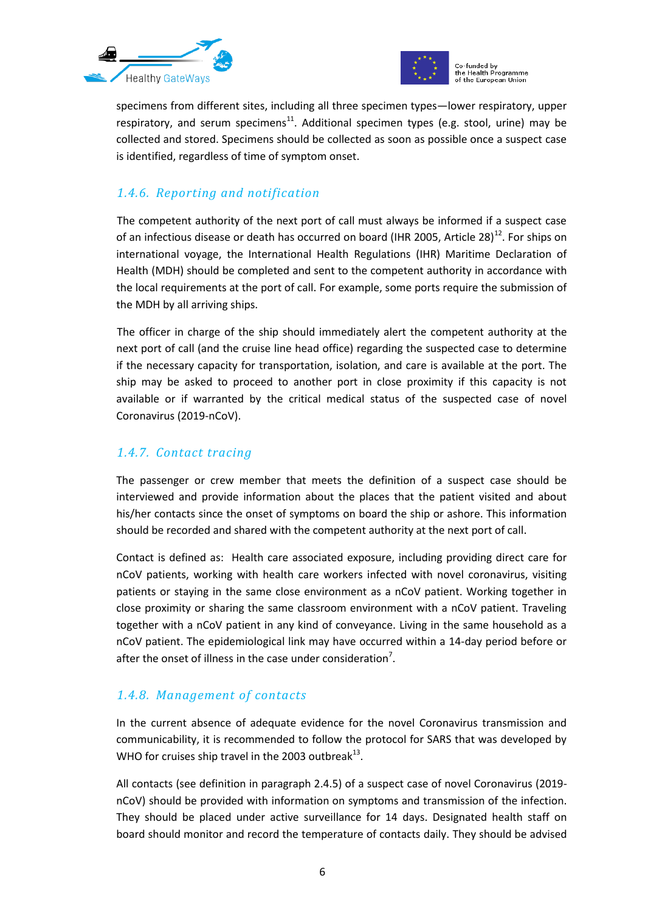



specimens from different sites, including all three specimen types—lower respiratory, upper respiratory, and serum specimens<sup>11</sup>. Additional specimen types (e.g. stool, urine) may be collected and stored. Specimens should be collected as soon as possible once a suspect case is identified, regardless of time of symptom onset.

#### *1.4.6. Reporting and notification*

The competent authority of the next port of call must always be informed if a suspect case of an infectious disease or death has occurred on board (IHR 2005, Article 28)<sup>12</sup>. For ships on international voyage, the International Health Regulations (IHR) Maritime Declaration of Health (MDH) should be completed and sent to the competent authority in accordance with the local requirements at the port of call. For example, some ports require the submission of the MDH by all arriving ships.

The officer in charge of the ship should immediately alert the competent authority at the next port of call (and the cruise line head office) regarding the suspected case to determine if the necessary capacity for transportation, isolation, and care is available at the port. The ship may be asked to proceed to another port in close proximity if this capacity is not available or if warranted by the critical medical status of the suspected case of novel Coronavirus (2019-nCoV).

## *1.4.7. Contact tracing*

The passenger or crew member that meets the definition of a suspect case should be interviewed and provide information about the places that the patient visited and about his/her contacts since the onset of symptoms on board the ship or ashore. This information should be recorded and shared with the competent authority at the next port of call.

Contact is defined as: Health care associated exposure, including providing direct care for nCoV patients, working with health care workers infected with novel coronavirus, visiting patients or staying in the same close environment as a nCoV patient. Working together in close proximity or sharing the same classroom environment with a nCoV patient. Traveling together with a nCoV patient in any kind of conveyance. Living in the same household as a nCoV patient. The epidemiological link may have occurred within a 14‐day period before or after the onset of illness in the case under consideration<sup>7</sup>.

## *1.4.8. Management of contacts*

In the current absence of adequate evidence for the novel Coronavirus transmission and communicability, it is recommended to follow the protocol for SARS that was developed by WHO for cruises ship travel in the 2003 outbreak $^{13}$ .

All contacts (see definition in paragraph 2.4.5) of a suspect case of novel Coronavirus (2019 nCoV) should be provided with information on symptoms and transmission of the infection. They should be placed under active surveillance for 14 days. Designated health staff on board should monitor and record the temperature of contacts daily. They should be advised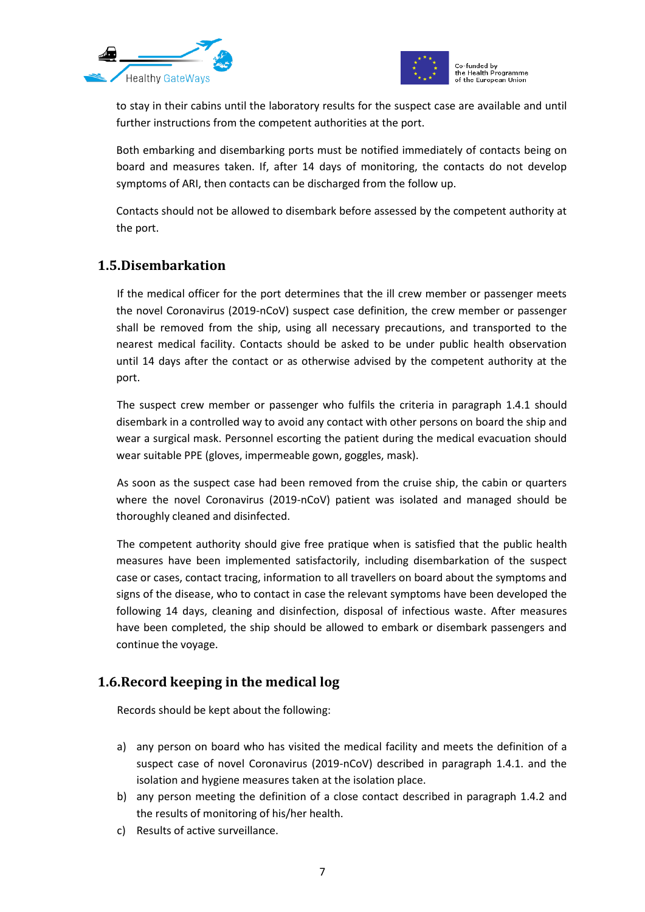



to stay in their cabins until the laboratory results for the suspect case are available and until further instructions from the competent authorities at the port.

Both embarking and disembarking ports must be notified immediately of contacts being on board and measures taken. If, after 14 days of monitoring, the contacts do not develop symptoms of ARI, then contacts can be discharged from the follow up.

Contacts should not be allowed to disembark before assessed by the competent authority at the port.

## **1.5.Disembarkation**

If the medical officer for the port determines that the ill crew member or passenger meets the novel Coronavirus (2019-nCoV) suspect case definition, the crew member or passenger shall be removed from the ship, using all necessary precautions, and transported to the nearest medical facility. Contacts should be asked to be under public health observation until 14 days after the contact or as otherwise advised by the competent authority at the port.

The suspect crew member or passenger who fulfils the criteria in paragraph [1.4.1](#page-3-0) should disembark in a controlled way to avoid any contact with other persons on board the ship and wear a surgical mask. Personnel escorting the patient during the medical evacuation should wear suitable PPE (gloves, impermeable gown, goggles, mask).

As soon as the suspect case had been removed from the cruise ship, the cabin or quarters where the novel Coronavirus (2019-nCoV) patient was isolated and managed should be thoroughly cleaned and disinfected.

The competent authority should give free pratique when is satisfied that the public health measures have been implemented satisfactorily, including disembarkation of the suspect case or cases, contact tracing, information to all travellers on board about the symptoms and signs of the disease, who to contact in case the relevant symptoms have been developed the following 14 days, cleaning and disinfection, disposal of infectious waste. After measures have been completed, the ship should be allowed to embark or disembark passengers and continue the voyage.

## **1.6.Record keeping in the medical log**

Records should be kept about the following:

- a) any person on board who has visited the medical facility and meets the definition of a suspect case of novel Coronavirus (2019-nCoV) described in paragraph [1.4.1.](#page-3-0) and the isolation and hygiene measures taken at the isolation place.
- b) any person meeting the definition of a close contact described in paragraph [1.4.2](#page-3-1) and the results of monitoring of his/her health.
- c) Results of active surveillance.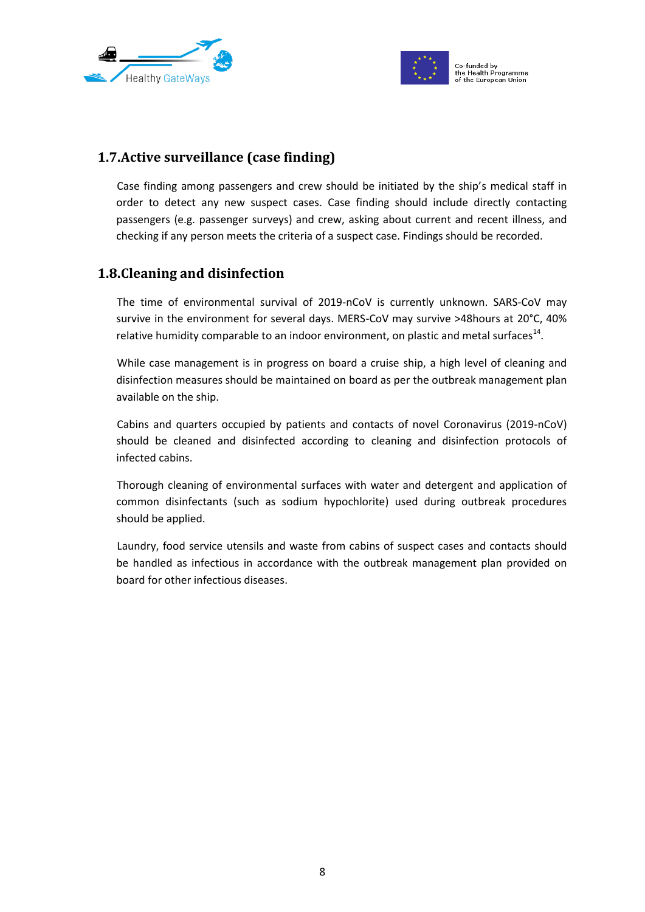



## **1.7.Active surveillance (case finding)**

Case finding among passengers and crew should be initiated by the ship's medical staff in order to detect any new suspect cases. Case finding should include directly contacting passengers (e.g. passenger surveys) and crew, asking about current and recent illness, and checking if any person meets the criteria of a suspect case. Findings should be recorded.

## **1.8.Cleaning and disinfection**

The time of environmental survival of 2019-nCoV is currently unknown. SARS-CoV may survive in the environment for several days. MERS-CoV may survive >48hours at 20°C, 40% relative humidity comparable to an indoor environment, on plastic and metal surfaces<sup>14</sup>.

While case management is in progress on board a cruise ship, a high level of cleaning and disinfection measures should be maintained on board as per the outbreak management plan available on the ship.

Cabins and quarters occupied by patients and contacts of novel Coronavirus (2019-nCoV) should be cleaned and disinfected according to cleaning and disinfection protocols of infected cabins.

Thorough cleaning of environmental surfaces with water and detergent and application of common disinfectants (such as sodium hypochlorite) used during outbreak procedures should be applied.

Laundry, food service utensils and waste from cabins of suspect cases and contacts should be handled as infectious in accordance with the outbreak management plan provided on board for other infectious diseases.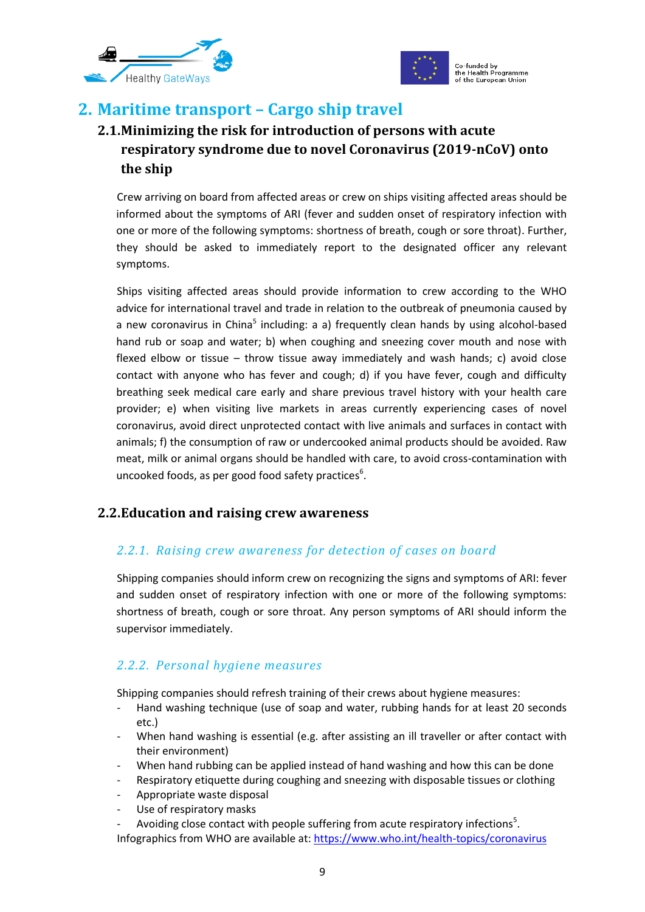



# **2. Maritime transport – Cargo ship travel**

# **2.1.Minimizing the risk for introduction of persons with acute respiratory syndrome due to novel Coronavirus (2019-nCoV) onto the ship**

Crew arriving on board from affected areas or crew on ships visiting affected areas should be informed about the symptoms of ARI (fever and sudden onset of respiratory infection with one or more of the following symptoms: shortness of breath, cough or sore throat). Further, they should be asked to immediately report to the designated officer any relevant symptoms.

Ships visiting affected areas should provide information to crew according to the WHO advice for international travel and trade in relation to the outbreak of pneumonia caused by a new coronavirus in China<sup>5</sup> including: a a) frequently clean hands by using alcohol-based hand rub or soap and water; b) when coughing and sneezing cover mouth and nose with flexed elbow or tissue – throw tissue away immediately and wash hands; c) avoid close contact with anyone who has fever and cough; d) if you have fever, cough and difficulty breathing seek medical care early and share previous travel history with your health care provider; e) when visiting live markets in areas currently experiencing cases of novel coronavirus, avoid direct unprotected contact with live animals and surfaces in contact with animals; f) the consumption of raw or undercooked animal products should be avoided. Raw meat, milk or animal organs should be handled with care, to avoid cross-contamination with uncooked foods, as per good food safety practices $^6$ .

## **2.2.Education and raising crew awareness**

## *2.2.1. Raising crew awareness for detection of cases on board*

Shipping companies should inform crew on recognizing the signs and symptoms of ARI: fever and sudden onset of respiratory infection with one or more of the following symptoms: shortness of breath, cough or sore throat. Any person symptoms of ARI should inform the supervisor immediately.

## *2.2.2. Personal hygiene measures*

Shipping companies should refresh training of their crews about hygiene measures:

- Hand washing technique (use of soap and water, rubbing hands for at least 20 seconds etc.)
- When hand washing is essential (e.g. after assisting an ill traveller or after contact with their environment)
- When hand rubbing can be applied instead of hand washing and how this can be done
- Respiratory etiquette during coughing and sneezing with disposable tissues or clothing
- Appropriate waste disposal
- Use of respiratory masks
- Avoiding close contact with people suffering from acute respiratory infections<sup>5</sup>. Infographics from WHO are available at[: https://www.who.int/health-topics/coronavirus](https://www.who.int/health-topics/coronavirus)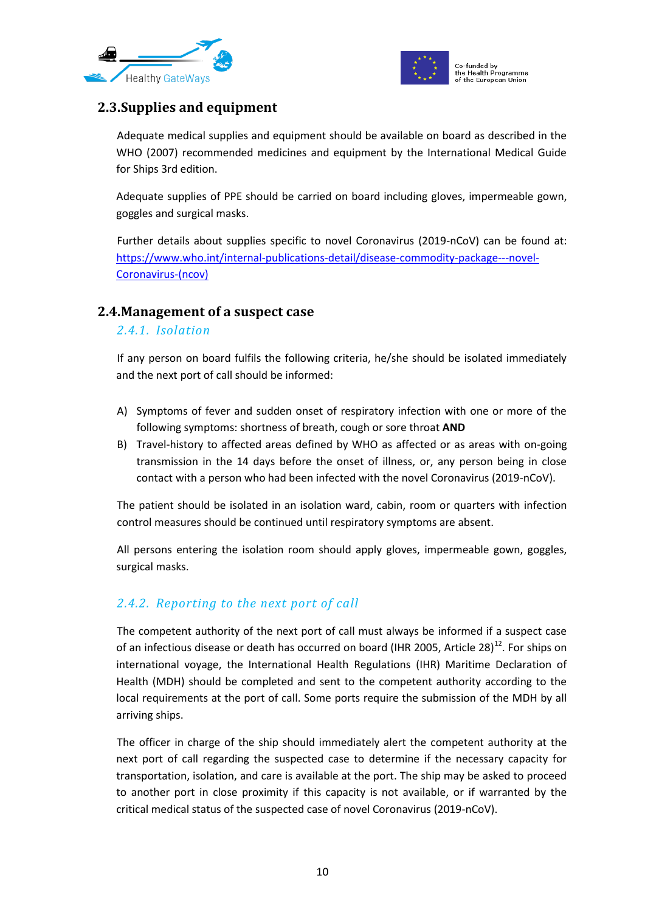



## **2.3.Supplies and equipment**

Adequate medical supplies and equipment should be available on board as described in the WHO (2007) recommended medicines and equipment by the International Medical Guide for Ships 3rd edition.

Adequate supplies of PPE should be carried on board including gloves, impermeable gown, goggles and surgical masks.

Further details about supplies specific to novel Coronavirus (2019-nCoV) can be found at: [https://www.who.int/internal-publications-detail/disease-commodity-package---novel-](https://www.who.int/internal-publications-detail/disease-commodity-package---novel-coronavirus-(ncov))[Coronavirus-\(ncov\)](https://www.who.int/internal-publications-detail/disease-commodity-package---novel-coronavirus-(ncov))

#### **2.4.Management of a suspect case**

#### *2.4.1. Isolation*

If any person on board fulfils the following criteria, he/she should be isolated immediately and the next port of call should be informed:

- A) Symptoms of fever and sudden onset of respiratory infection with one or more of the following symptoms: shortness of breath, cough or sore throat **AND**
- B) Travel-history to affected areas defined by WHO as affected or as areas with on-going transmission in the 14 days before the onset of illness, or, any person being in close contact with a person who had been infected with the novel Coronavirus (2019-nCoV).

The patient should be isolated in an isolation ward, cabin, room or quarters with infection control measures should be continued until respiratory symptoms are absent.

All persons entering the isolation room should apply gloves, impermeable gown, goggles, surgical masks.

## *2.4.2. Reporting to the next port of call*

The competent authority of the next port of call must always be informed if a suspect case of an infectious disease or death has occurred on board (IHR 2005, Article 28)<sup>12</sup>. For ships on international voyage, the International Health Regulations (IHR) Maritime Declaration of Health (MDH) should be completed and sent to the competent authority according to the local requirements at the port of call. Some ports require the submission of the MDH by all arriving ships.

The officer in charge of the ship should immediately alert the competent authority at the next port of call regarding the suspected case to determine if the necessary capacity for transportation, isolation, and care is available at the port. The ship may be asked to proceed to another port in close proximity if this capacity is not available, or if warranted by the critical medical status of the suspected case of novel Coronavirus (2019-nCoV).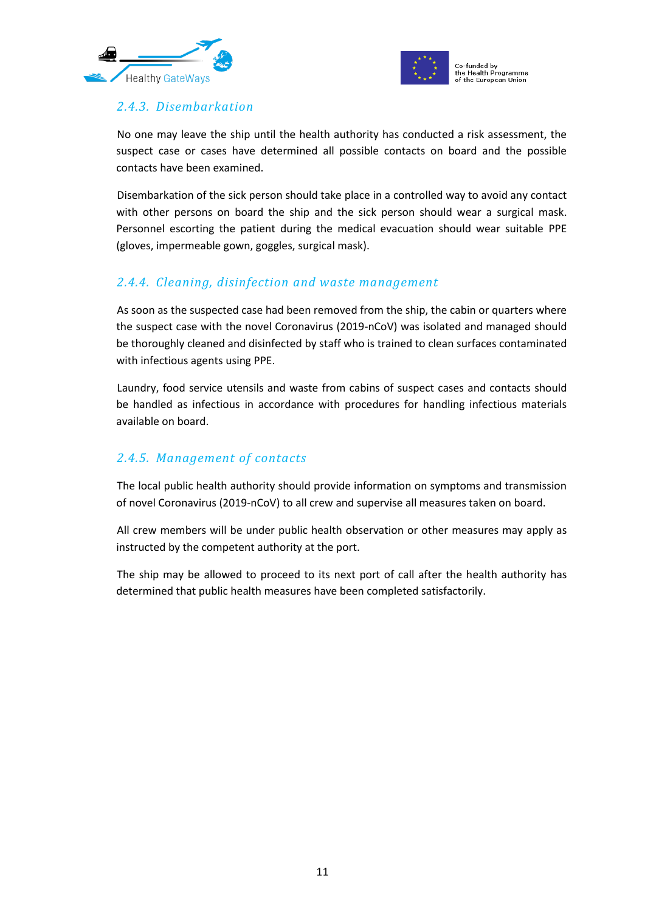



## *2.4.3. Disembarkation*

No one may leave the ship until the health authority has conducted a risk assessment, the suspect case or cases have determined all possible contacts on board and the possible contacts have been examined.

Disembarkation of the sick person should take place in a controlled way to avoid any contact with other persons on board the ship and the sick person should wear a surgical mask. Personnel escorting the patient during the medical evacuation should wear suitable PPE (gloves, impermeable gown, goggles, surgical mask).

#### *2.4.4. Cleaning, disinfection and waste management*

As soon as the suspected case had been removed from the ship, the cabin or quarters where the suspect case with the novel Coronavirus (2019-nCoV) was isolated and managed should be thoroughly cleaned and disinfected by staff who is trained to clean surfaces contaminated with infectious agents using PPE.

Laundry, food service utensils and waste from cabins of suspect cases and contacts should be handled as infectious in accordance with procedures for handling infectious materials available on board.

#### *2.4.5. Management of contacts*

The local public health authority should provide information on symptoms and transmission of novel Coronavirus (2019-nCoV) to all crew and supervise all measures taken on board.

All crew members will be under public health observation or other measures may apply as instructed by the competent authority at the port.

The ship may be allowed to proceed to its next port of call after the health authority has determined that public health measures have been completed satisfactorily.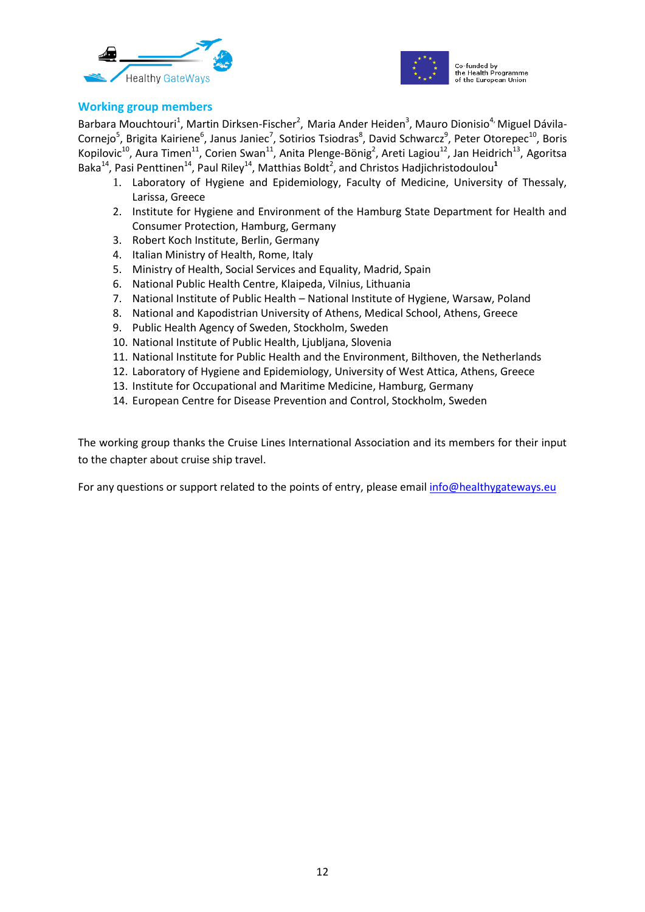



#### **Working group members**

Barbara Mouchtouri<sup>1</sup>, Martin Dirksen-Fischer<sup>2</sup>, Maria Ander Heiden<sup>3</sup>, Mauro Dionisio<sup>4,</sup> Miguel Dávila-Cornejo<sup>5</sup>, Brigita Kairiene<sup>6</sup>, Janus Janiec<sup>7</sup>, Sotirios Tsiodras<sup>8</sup>, David Schwarcz<sup>9</sup>, Peter Otorepec<sup>10</sup>, Boris Kopilovic<sup>10</sup>, Aura Timen<sup>11</sup>, Corien Swan<sup>11</sup>, Anita Plenge-Bönig<sup>2</sup>, Areti Lagiou<sup>12</sup>, Jan Heidrich<sup>13</sup>, Agoritsa Baka<sup>14</sup>, Pasi Penttinen<sup>14</sup>, Paul Riley<sup>14</sup>, Matthias Boldt<sup>2</sup>, and Christos Hadjichristodoulou<sup>1</sup>

- 1. Laboratory of Hygiene and Epidemiology, Faculty of Medicine, University of Thessaly, Larissa, Greece
- 2. Institute for Hygiene and Environment of the Hamburg State Department for Health and Consumer Protection, Hamburg, Germany
- 3. Robert Koch Institute, Berlin, Germany
- 4. Italian Ministry of Health, Rome, Italy
- 5. Ministry of Health, Social Services and Equality, Madrid, Spain
- 6. National Public Health Centre, Klaipeda, Vilnius, Lithuania
- 7. National Institute of Public Health National Institute of Hygiene, Warsaw, Poland
- 8. National and Kapodistrian University of Athens, Medical School, Athens, Greece
- 9. Public Health Agency of Sweden, Stockholm, Sweden
- 10. National Institute of Public Health, Ljubljana, Slovenia
- 11. National Institute for Public Health and the Environment, Bilthoven, the Netherlands
- 12. Laboratory of Hygiene and Epidemiology, University of West Attica, Athens, Greece
- 13. Institute for Occupational and Maritime Medicine, Hamburg, Germany
- 14. European Centre for Disease Prevention and Control, Stockholm, Sweden

The working group thanks the Cruise Lines International Association and its members for their input to the chapter about cruise ship travel.

For any questions or support related to the points of entry, please emai[l info@healthygateways.eu](mailto:info@healthygateways.eu)